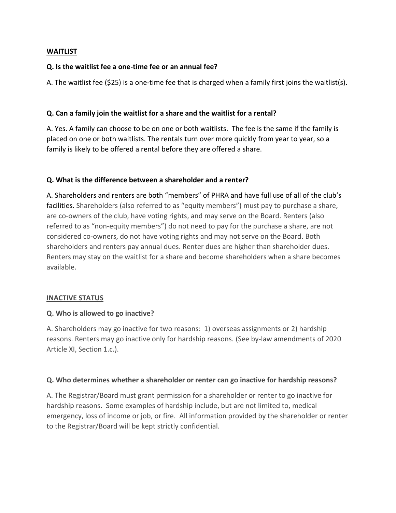### **WAITLIST**

### **Q. Is the waitlist fee a one-time fee or an annual fee?**

A. The waitlist fee (\$25) is a one-time fee that is charged when a family first joins the waitlist(s).

## **Q. Can a family join the waitlist for a share and the waitlist for a rental?**

A. Yes. A family can choose to be on one or both waitlists. The fee is the same if the family is placed on one or both waitlists. The rentals turn over more quickly from year to year, so a family is likely to be offered a rental before they are offered a share.

## **Q. What is the difference between a shareholder and a renter?**

A. Shareholders and renters are both "members" of PHRA and have full use of all of the club's facilities. Shareholders (also referred to as "equity members") must pay to purchase a share, are co-owners of the club, have voting rights, and may serve on the Board. Renters (also referred to as "non-equity members") do not need to pay for the purchase a share, are not considered co-owners, do not have voting rights and may not serve on the Board. Both shareholders and renters pay annual dues. Renter dues are higher than shareholder dues. Renters may stay on the waitlist for a share and become shareholders when a share becomes available.

### **INACTIVE STATUS**

### **Q. Who is allowed to go inactive?**

A. Shareholders may go inactive for two reasons: 1) overseas assignments or 2) hardship reasons. Renters may go inactive only for hardship reasons. (See by-law amendments of 2020 Article XI, Section 1.c.).

### **Q. Who determines whether a shareholder or renter can go inactive for hardship reasons?**

A. The Registrar/Board must grant permission for a shareholder or renter to go inactive for hardship reasons. Some examples of hardship include, but are not limited to, medical emergency, loss of income or job, or fire. All information provided by the shareholder or renter to the Registrar/Board will be kept strictly confidential.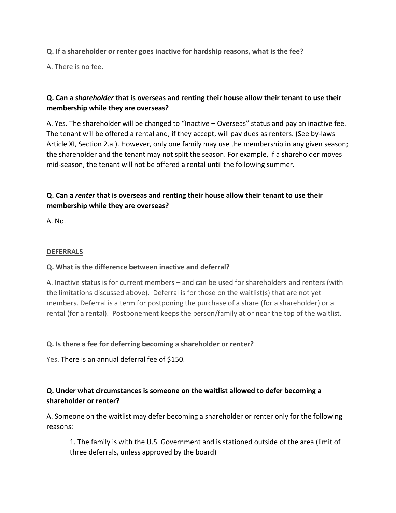# **Q. If a shareholder or renter goes inactive for hardship reasons, what is the fee?**

A. There is no fee.

# **Q. Can a** *shareholder* **that is overseas and renting their house allow their tenant to use their membership while they are overseas?**

A. Yes. The shareholder will be changed to "Inactive – Overseas" status and pay an inactive fee. The tenant will be offered a rental and, if they accept, will pay dues as renters. (See by-laws Article XI, Section 2.a.). However, only one family may use the membership in any given season; the shareholder and the tenant may not split the season. For example, if a shareholder moves mid-season, the tenant will not be offered a rental until the following summer.

# **Q. Can a** *renter* **that is overseas and renting their house allow their tenant to use their membership while they are overseas?**

A. No.

## **DEFERRALS**

## **Q. What is the difference between inactive and deferral?**

A. Inactive status is for current members – and can be used for shareholders and renters (with the limitations discussed above). Deferral is for those on the waitlist(s) that are not yet members. Deferral is a term for postponing the purchase of a share (for a shareholder) or a rental (for a rental). Postponement keeps the person/family at or near the top of the waitlist.

## **Q. Is there a fee for deferring becoming a shareholder or renter?**

Yes. There is an annual deferral fee of \$150.

# **Q. Under what circumstances is someone on the waitlist allowed to defer becoming a shareholder or renter?**

A. Someone on the waitlist may defer becoming a shareholder or renter only for the following reasons:

1. The family is with the U.S. Government and is stationed outside of the area (limit of three deferrals, unless approved by the board)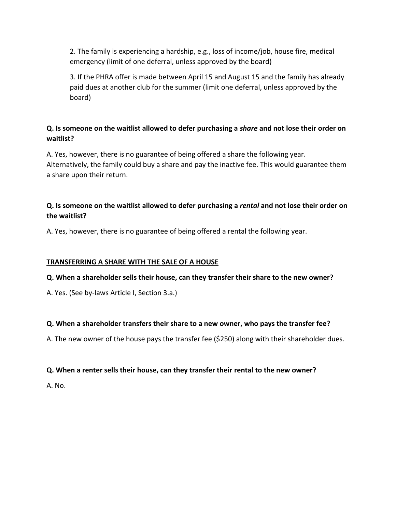2. The family is experiencing a hardship, e.g., loss of income/job, house fire, medical emergency (limit of one deferral, unless approved by the board)

3. If the PHRA offer is made between April 15 and August 15 and the family has already paid dues at another club for the summer (limit one deferral, unless approved by the board)

# **Q. Is someone on the waitlist allowed to defer purchasing a** *share* **and not lose their order on waitlist?**

A. Yes, however, there is no guarantee of being offered a share the following year. Alternatively, the family could buy a share and pay the inactive fee. This would guarantee them a share upon their return.

# **Q. Is someone on the waitlist allowed to defer purchasing a** *rental* **and not lose their order on the waitlist?**

A. Yes, however, there is no guarantee of being offered a rental the following year.

## **TRANSFERRING A SHARE WITH THE SALE OF A HOUSE**

## **Q. When a shareholder sells their house, can they transfer their share to the new owner?**

A. Yes. (See by-laws Article I, Section 3.a.)

## **Q. When a shareholder transfers their share to a new owner, who pays the transfer fee?**

A. The new owner of the house pays the transfer fee (\$250) along with their shareholder dues.

## **Q. When a renter sells their house, can they transfer their rental to the new owner?**

A. No.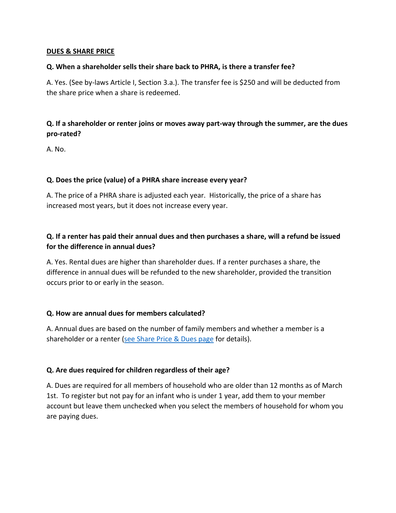#### **DUES & SHARE PRICE**

#### **Q. When a shareholder sells their share back to PHRA, is there a transfer fee?**

A. Yes. (See by-laws Article I, Section 3.a.). The transfer fee is \$250 and will be deducted from the share price when a share is redeemed.

# **Q. If a shareholder or renter joins or moves away part-way through the summer, are the dues pro-rated?**

A. No.

## **Q. Does the price (value) of a PHRA share increase every year?**

A. The price of a PHRA share is adjusted each year. Historically, the price of a share has increased most years, but it does not increase every year.

# **Q. If a renter has paid their annual dues and then purchases a share, will a refund be issued for the difference in annual dues?**

A. Yes. Rental dues are higher than shareholder dues. If a renter purchases a share, the difference in annual dues will be refunded to the new shareholder, provided the transition occurs prior to or early in the season.

### **Q. How are annual dues for members calculated?**

A. Annual dues are based on the number of family members and whether a member is a shareholder or a renter [\(see Share Price & Dues page](https://poplarheights.org/share-price-dues/) for details).

### **Q. Are dues required for children regardless of their age?**

A. Dues are required for all members of household who are older than 12 months as of March 1st. To register but not pay for an infant who is under 1 year, add them to your member account but leave them unchecked when you select the members of household for whom you are paying dues.